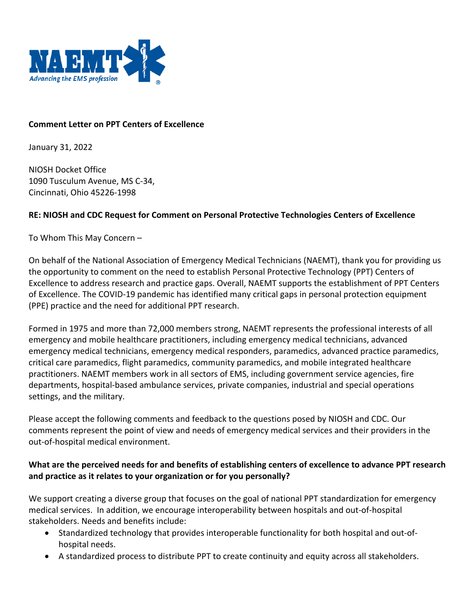

### **Comment Letter on PPT Centers of Excellence**

January 31, 2022

NIOSH Docket Office 1090 Tusculum Avenue, MS C-34, Cincinnati, Ohio 45226-1998

### **RE: NIOSH and CDC Request for Comment on Personal Protective Technologies Centers of Excellence**

To Whom This May Concern –

On behalf of the National Association of Emergency Medical Technicians (NAEMT), thank you for providing us the opportunity to comment on the need to establish Personal Protective Technology (PPT) Centers of Excellence to address research and practice gaps. Overall, NAEMT supports the establishment of PPT Centers of Excellence. The COVID-19 pandemic has identified many critical gaps in personal protection equipment (PPE) practice and the need for additional PPT research.

Formed in 1975 and more than 72,000 members strong, NAEMT represents the professional interests of all emergency and mobile healthcare practitioners, including emergency medical technicians, advanced emergency medical technicians, emergency medical responders, paramedics, advanced practice paramedics, critical care paramedics, flight paramedics, community paramedics, and mobile integrated healthcare practitioners. NAEMT members work in all sectors of EMS, including government service agencies, fire departments, hospital-based ambulance services, private companies, industrial and special operations settings, and the military.

Please accept the following comments and feedback to the questions posed by NIOSH and CDC. Our comments represent the point of view and needs of emergency medical services and their providers in the out-of-hospital medical environment.

### **What are the perceived needs for and benefits of establishing centers of excellence to advance PPT research and practice as it relates to your organization or for you personally?**

We support creating a diverse group that focuses on the goal of national PPT standardization for emergency medical services. In addition, we encourage interoperability between hospitals and out-of-hospital stakeholders. Needs and benefits include:

- Standardized technology that provides interoperable functionality for both hospital and out-ofhospital needs.
- A standardized process to distribute PPT to create continuity and equity across all stakeholders.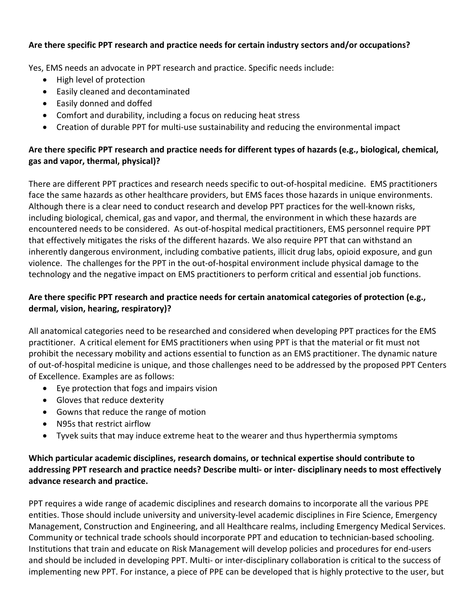## **Are there specific PPT research and practice needs for certain industry sectors and/or occupations?**

Yes, EMS needs an advocate in PPT research and practice. Specific needs include:

- High level of protection
- Easily cleaned and decontaminated
- Easily donned and doffed
- Comfort and durability, including a focus on reducing heat stress
- Creation of durable PPT for multi-use sustainability and reducing the environmental impact

# **Are there specific PPT research and practice needs for different types of hazards (e.g., biological, chemical, gas and vapor, thermal, physical)?**

There are different PPT practices and research needs specific to out-of-hospital medicine. EMS practitioners face the same hazards as other healthcare providers, but EMS faces those hazards in unique environments. Although there is a clear need to conduct research and develop PPT practices for the well-known risks, including biological, chemical, gas and vapor, and thermal, the environment in which these hazards are encountered needs to be considered. As out-of-hospital medical practitioners, EMS personnel require PPT that effectively mitigates the risks of the different hazards. We also require PPT that can withstand an inherently dangerous environment, including combative patients, illicit drug labs, opioid exposure, and gun violence. The challenges for the PPT in the out-of-hospital environment include physical damage to the technology and the negative impact on EMS practitioners to perform critical and essential job functions.

# **Are there specific PPT research and practice needs for certain anatomical categories of protection (e.g., dermal, vision, hearing, respiratory)?**

All anatomical categories need to be researched and considered when developing PPT practices for the EMS practitioner. A critical element for EMS practitioners when using PPT is that the material or fit must not prohibit the necessary mobility and actions essential to function as an EMS practitioner. The dynamic nature of out-of-hospital medicine is unique, and those challenges need to be addressed by the proposed PPT Centers of Excellence. Examples are as follows:

- Eye protection that fogs and impairs vision
- Gloves that reduce dexterity
- Gowns that reduce the range of motion
- N95s that restrict airflow
- Tyvek suits that may induce extreme heat to the wearer and thus hyperthermia symptoms

# **Which particular academic disciplines, research domains, or technical expertise should contribute to addressing PPT research and practice needs? Describe multi- or inter- disciplinary needs to most effectively advance research and practice.**

PPT requires a wide range of academic disciplines and research domains to incorporate all the various PPE entities. Those should include university and university-level academic disciplines in Fire Science, Emergency Management, Construction and Engineering, and all Healthcare realms, including Emergency Medical Services. Community or technical trade schools should incorporate PPT and education to technician-based schooling. Institutions that train and educate on Risk Management will develop policies and procedures for end-users and should be included in developing PPT. Multi- or inter-disciplinary collaboration is critical to the success of implementing new PPT. For instance, a piece of PPE can be developed that is highly protective to the user, but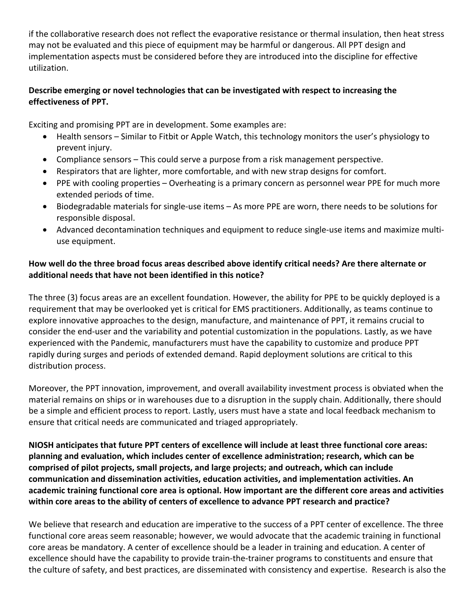if the collaborative research does not reflect the evaporative resistance or thermal insulation, then heat stress may not be evaluated and this piece of equipment may be harmful or dangerous. All PPT design and implementation aspects must be considered before they are introduced into the discipline for effective utilization.

## **Describe emerging or novel technologies that can be investigated with respect to increasing the effectiveness of PPT.**

Exciting and promising PPT are in development. Some examples are:

- Health sensors Similar to Fitbit or Apple Watch, this technology monitors the user's physiology to prevent injury.
- Compliance sensors This could serve a purpose from a risk management perspective.
- Respirators that are lighter, more comfortable, and with new strap designs for comfort.
- PPE with cooling properties Overheating is a primary concern as personnel wear PPE for much more extended periods of time.
- Biodegradable materials for single-use items As more PPE are worn, there needs to be solutions for responsible disposal.
- Advanced decontamination techniques and equipment to reduce single-use items and maximize multiuse equipment.

# **How well do the three broad focus areas described above identify critical needs? Are there alternate or additional needs that have not been identified in this notice?**

The three (3) focus areas are an excellent foundation. However, the ability for PPE to be quickly deployed is a requirement that may be overlooked yet is critical for EMS practitioners. Additionally, as teams continue to explore innovative approaches to the design, manufacture, and maintenance of PPT, it remains crucial to consider the end-user and the variability and potential customization in the populations. Lastly, as we have experienced with the Pandemic, manufacturers must have the capability to customize and produce PPT rapidly during surges and periods of extended demand. Rapid deployment solutions are critical to this distribution process.

Moreover, the PPT innovation, improvement, and overall availability investment process is obviated when the material remains on ships or in warehouses due to a disruption in the supply chain. Additionally, there should be a simple and efficient process to report. Lastly, users must have a state and local feedback mechanism to ensure that critical needs are communicated and triaged appropriately.

**NIOSH anticipates that future PPT centers of excellence will include at least three functional core areas: planning and evaluation, which includes center of excellence administration; research, which can be comprised of pilot projects, small projects, and large projects; and outreach, which can include communication and dissemination activities, education activities, and implementation activities. An academic training functional core area is optional. How important are the different core areas and activities within core areas to the ability of centers of excellence to advance PPT research and practice?**

We believe that research and education are imperative to the success of a PPT center of excellence. The three functional core areas seem reasonable; however, we would advocate that the academic training in functional core areas be mandatory. A center of excellence should be a leader in training and education. A center of excellence should have the capability to provide train-the-trainer programs to constituents and ensure that the culture of safety, and best practices, are disseminated with consistency and expertise. Research is also the